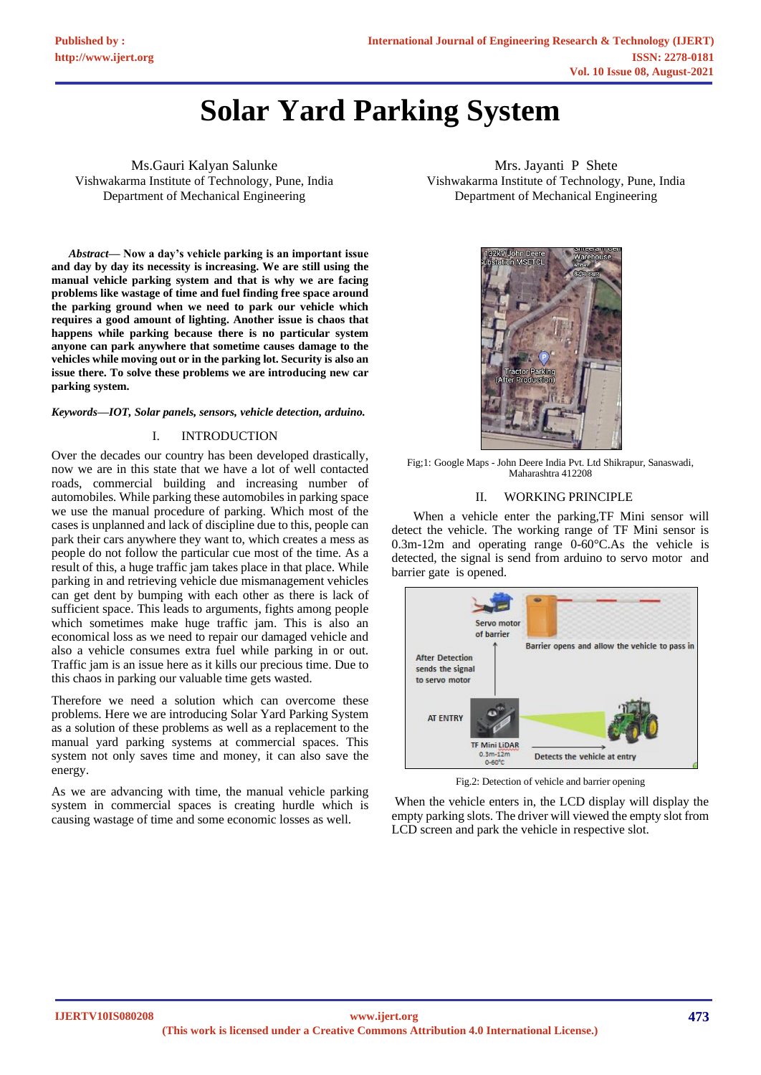# **Solar Yard Parking System**

Ms.Gauri Kalyan Salunke Vishwakarma Institute of Technology, Pune, India Department of Mechanical Engineering

*Abstract***— Now a day's vehicle parking is an important issue and day by day its necessity is increasing. We are still using the manual vehicle parking system and that is why we are facing problems like wastage of time and fuel finding free space around the parking ground when we need to park our vehicle which requires a good amount of lighting. Another issue is chaos that happens while parking because there is no particular system anyone can park anywhere that sometime causes damage to the vehicles while moving out or in the parking lot. Security is also an issue there. To solve these problems we are introducing new car parking system.**

*Keywords—IOT, Solar panels, sensors, vehicle detection, arduino.*

#### I. INTRODUCTION

Over the decades our country has been developed drastically, now we are in this state that we have a lot of well contacted roads, commercial building and increasing number of automobiles. While parking these automobiles in parking space we use the manual procedure of parking. Which most of the cases is unplanned and lack of discipline due to this, people can park their cars anywhere they want to, which creates a mess as people do not follow the particular cue most of the time. As a result of this, a huge traffic jam takes place in that place. While parking in and retrieving vehicle due mismanagement vehicles can get dent by bumping with each other as there is lack of sufficient space. This leads to arguments, fights among people which sometimes make huge traffic jam. This is also an economical loss as we need to repair our damaged vehicle and also a vehicle consumes extra fuel while parking in or out. Traffic jam is an issue here as it kills our precious time. Due to this chaos in parking our valuable time gets wasted.

Therefore we need a solution which can overcome these problems. Here we are introducing Solar Yard Parking System as a solution of these problems as well as a replacement to the manual yard parking systems at commercial spaces. This system not only saves time and money, it can also save the energy.

As we are advancing with time, the manual vehicle parking system in commercial spaces is creating hurdle which is causing wastage of time and some economic losses as well.

Mrs. Jayanti P Shete Vishwakarma Institute of Technology, Pune, India Department of Mechanical Engineering



Fig;1: Google Maps - John Deere India Pvt. Ltd Shikrapur, Sanaswadi, Maharashtra 412208

#### II. WORKING PRINCIPLE

When a vehicle enter the parking,TF Mini sensor will detect the vehicle. The working range of TF Mini sensor is 0.3m-12m and operating range 0-60°C.As the vehicle is detected, the signal is send from arduino to servo motor and barrier gate is opened.



Fig.2: Detection of vehicle and barrier opening

When the vehicle enters in, the LCD display will display the empty parking slots. The driver will viewed the empty slot from LCD screen and park the vehicle in respective slot.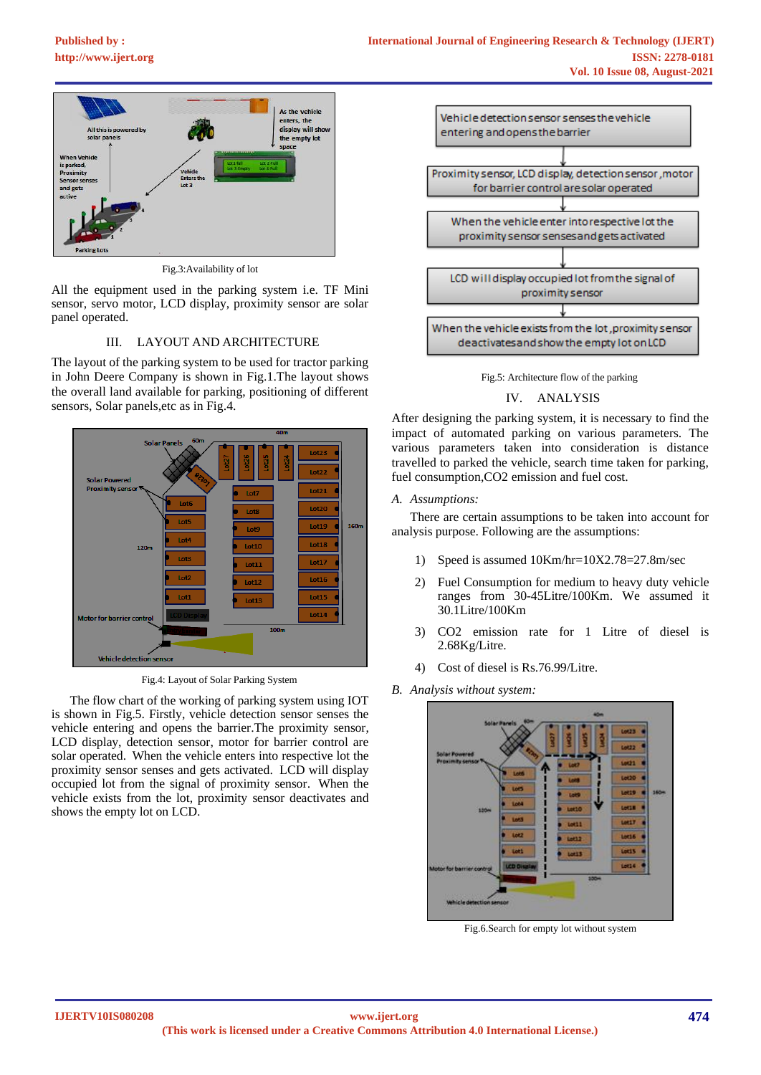# **[Published by :](www.ijert.org)**



Fig.3:Availability of lot

All the equipment used in the parking system i.e. TF Mini sensor, servo motor, LCD display, proximity sensor are solar panel operated.

# III. LAYOUT AND ARCHITECTURE

The layout of the parking system to be used for tractor parking in John Deere Company is shown in Fig.1.The layout shows the overall land available for parking, positioning of different sensors, Solar panels,etc as in Fig.4.



Fig.4: Layout of Solar Parking System

The flow chart of the working of parking system using IOT is shown in Fig.5. Firstly, vehicle detection sensor senses the vehicle entering and opens the barrier.The proximity sensor, LCD display, detection sensor, motor for barrier control are solar operated. When the vehicle enters into respective lot the proximity sensor senses and gets activated. LCD will display occupied lot from the signal of proximity sensor. When the vehicle exists from the lot, proximity sensor deactivates and shows the empty lot on LCD.



Fig.5: Architecture flow of the parking

#### IV. ANALYSIS

After designing the parking system, it is necessary to find the impact of automated parking on various parameters. The various parameters taken into consideration is distance travelled to parked the vehicle, search time taken for parking, fuel consumption,CO2 emission and fuel cost.

### *A. Assumptions:*

There are certain assumptions to be taken into account for analysis purpose. Following are the assumptions:

- 1) Speed is assumed 10Km/hr=10X2.78=27.8m/sec
- 2) Fuel Consumption for medium to heavy duty vehicle ranges from 30-45Litre/100Km. We assumed it 30.1Litre/100Km
- 3) CO2 emission rate for 1 Litre of diesel is 2.68Kg/Litre.
- 4) Cost of diesel is Rs.76.99/Litre.

### *B. Analysis without system:*



Fig.6.Search for empty lot without system